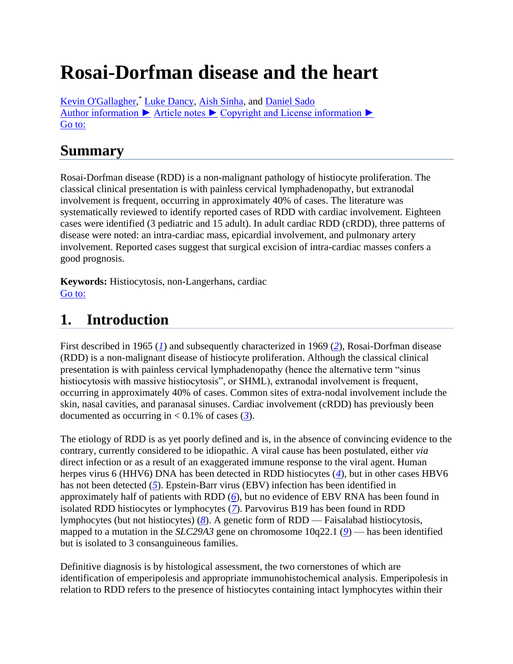# **Rosai-Dorfman disease and the heart**

[Kevin O'Gallagher,](http://www.ncbi.nlm.nih.gov/pubmed/?term=O) \* [Luke Dancy,](http://www.ncbi.nlm.nih.gov/pubmed/?term=Dancy%20L%5BAuthor%5D&cauthor=true&cauthor_uid=26989642) [Aish Sinha,](http://www.ncbi.nlm.nih.gov/pubmed/?term=Sinha%20A%5BAuthor%5D&cauthor=true&cauthor_uid=26989642) and [Daniel Sado](http://www.ncbi.nlm.nih.gov/pubmed/?term=Sado%20D%5BAuthor%5D&cauthor=true&cauthor_uid=26989642) Author [information ►](http://www.ncbi.nlm.nih.gov/pmc/articles/PMC4761578/) [Article notes ►](http://www.ncbi.nlm.nih.gov/pmc/articles/PMC4761578/) [Copyright and License information ►](http://www.ncbi.nlm.nih.gov/pmc/articles/PMC4761578/) [Go to:](http://www.ncbi.nlm.nih.gov/pmc/articles/PMC4761578/)

### **Summary**

Rosai-Dorfman disease (RDD) is a non-malignant pathology of histiocyte proliferation. The classical clinical presentation is with painless cervical lymphadenopathy, but extranodal involvement is frequent, occurring in approximately 40% of cases. The literature was systematically reviewed to identify reported cases of RDD with cardiac involvement. Eighteen cases were identified (3 pediatric and 15 adult). In adult cardiac RDD (cRDD), three patterns of disease were noted: an intra-cardiac mass, epicardial involvement, and pulmonary artery involvement. Reported cases suggest that surgical excision of intra-cardiac masses confers a good prognosis.

**Keywords:** Histiocytosis, non-Langerhans, cardiac [Go to:](http://www.ncbi.nlm.nih.gov/pmc/articles/PMC4761578/)

## **1. Introduction**

First described in 1965 (*[1](http://www.ncbi.nlm.nih.gov/pmc/articles/PMC4761578/#bib1)*) and subsequently characterized in 1969 (*[2](http://www.ncbi.nlm.nih.gov/pmc/articles/PMC4761578/#bib2)*), Rosai-Dorfman disease (RDD) is a non-malignant disease of histiocyte proliferation. Although the classical clinical presentation is with painless cervical lymphadenopathy (hence the alternative term "sinus histiocytosis with massive histiocytosis", or SHML), extranodal involvement is frequent, occurring in approximately 40% of cases. Common sites of extra-nodal involvement include the skin, nasal cavities, and paranasal sinuses. Cardiac involvement (cRDD) has previously been documented as occurring in  $< 0.1\%$  of cases ([3](http://www.ncbi.nlm.nih.gov/pmc/articles/PMC4761578/#bib3)).

The etiology of RDD is as yet poorly defined and is, in the absence of convincing evidence to the contrary, currently considered to be idiopathic. A viral cause has been postulated, either *via* direct infection or as a result of an exaggerated immune response to the viral agent. Human herpes virus 6 (HHV6) DNA has been detected in RDD histiocytes (*[4](http://www.ncbi.nlm.nih.gov/pmc/articles/PMC4761578/#bib4)*), but in other cases HBV6 has not been detected (*[5](http://www.ncbi.nlm.nih.gov/pmc/articles/PMC4761578/#bib5)*). Epstein-Barr virus (EBV) infection has been identified in approximately half of patients with RDD (*[6](http://www.ncbi.nlm.nih.gov/pmc/articles/PMC4761578/#bib6)*), but no evidence of EBV RNA has been found in isolated RDD histiocytes or lymphocytes (*[7](http://www.ncbi.nlm.nih.gov/pmc/articles/PMC4761578/#bib7)*). Parvovirus B19 has been found in RDD lymphocytes (but not histiocytes) (*[8](http://www.ncbi.nlm.nih.gov/pmc/articles/PMC4761578/#bib8)*). A genetic form of RDD — Faisalabad histiocytosis, mapped to a mutation in the *SLC29A3* gene on chromosome 10q22.1 (*[9](http://www.ncbi.nlm.nih.gov/pmc/articles/PMC4761578/#bib9)*) — has been identified but is isolated to 3 consanguineous families.

Definitive diagnosis is by histological assessment, the two cornerstones of which are identification of emperipolesis and appropriate immunohistochemical analysis. Emperipolesis in relation to RDD refers to the presence of histiocytes containing intact lymphocytes within their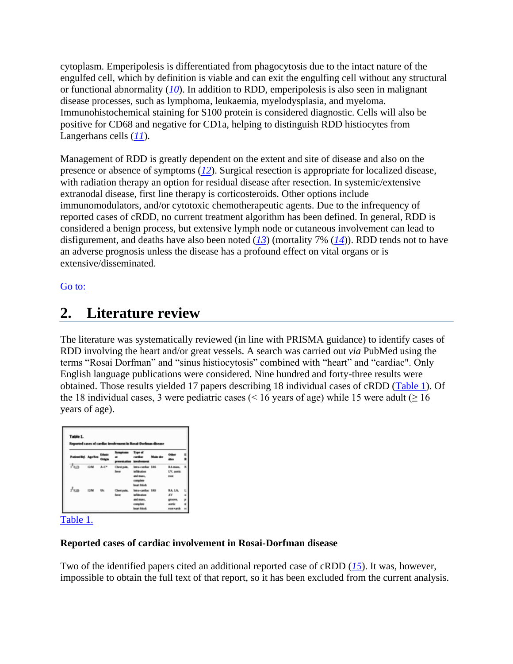cytoplasm. Emperipolesis is differentiated from phagocytosis due to the intact nature of the engulfed cell, which by definition is viable and can exit the engulfing cell without any structural or functional abnormality (*[10](http://www.ncbi.nlm.nih.gov/pmc/articles/PMC4761578/#bib10)*). In addition to RDD, emperipolesis is also seen in malignant disease processes, such as lymphoma, leukaemia, myelodysplasia, and myeloma. Immunohistochemical staining for S100 protein is considered diagnostic. Cells will also be positive for CD68 and negative for CD1a, helping to distinguish RDD histiocytes from Langerhans cells (*[11](http://www.ncbi.nlm.nih.gov/pmc/articles/PMC4761578/#bib11)*).

Management of RDD is greatly dependent on the extent and site of disease and also on the presence or absence of symptoms (*[12](http://www.ncbi.nlm.nih.gov/pmc/articles/PMC4761578/#bib12)*). Surgical resection is appropriate for localized disease, with radiation therapy an option for residual disease after resection. In systemic/extensive extranodal disease, first line therapy is corticosteroids. Other options include immunomodulators, and/or cytotoxic chemotherapeutic agents. Due to the infrequency of reported cases of cRDD, no current treatment algorithm has been defined. In general, RDD is considered a benign process, but extensive lymph node or cutaneous involvement can lead to disfigurement, and deaths have also been noted (*[13](http://www.ncbi.nlm.nih.gov/pmc/articles/PMC4761578/#bib13)*) (mortality 7% (*[14](http://www.ncbi.nlm.nih.gov/pmc/articles/PMC4761578/#bib14)*)). RDD tends not to have an adverse prognosis unless the disease has a profound effect on vital organs or is extensive/disseminated.

#### [Go to:](http://www.ncbi.nlm.nih.gov/pmc/articles/PMC4761578/)

### **2. Literature review**

The literature was systematically reviewed (in line with PRISMA guidance) to identify cases of RDD involving the heart and/or great vessels. A search was carried out *via* PubMed using the terms "Rosai Dorfman" and "sinus histiocytosis" combined with "heart" and "cardiac". Only English language publications were considered. Nine hundred and forty-three results were obtained. Those results yielded 17 papers describing 18 individual cases of cRDD [\(Table 1\)](http://www.ncbi.nlm.nih.gov/pmc/articles/PMC4761578/table/T1/). Of the 18 individual cases, 3 were pediatric cases ( $\leq 16$  years of age) while 15 were adult ( $\geq 16$ ) years of age).

| Table 1.<br>Reported cases of cardiac involvement in Rosai-Dorfman disease |        |                   |                       |                                                                                                      |           |                                                       |         |
|----------------------------------------------------------------------------|--------|-------------------|-----------------------|------------------------------------------------------------------------------------------------------|-----------|-------------------------------------------------------|---------|
| <b>Patient Ref. Age/Sex</b>                                                |        | Extents<br>Ovigin | Somptoms Type of<br>  | cardiac<br>presentation involvement                                                                  | Main site | n<br>m                                                | ٤       |
| Tua.                                                                       | 12/M   | A-C*              | fever.                | Chest pain. Intra-cardiac 1AS<br><b>Infiltration</b><br>and mass.<br>complete<br><b>Beneti Monda</b> |           | RA mans.<br>LV, andic<br><b>FINK</b>                  | ĸ       |
| r <sup>kun</sup>                                                           | 13M Uk |                   | Chest pain.<br>fever. | Intra-cardiac 1AS<br>infiltration<br>and mass.<br>complete<br><b>Benet Month</b>                     |           | <b>BALLA</b><br>AV.<br>groove,<br>acerda:<br>root+ank | r.<br>P |

#### [Table 1.](http://www.ncbi.nlm.nih.gov/pmc/articles/PMC4761578/table/T1/)

#### **Reported cases of cardiac involvement in Rosai-Dorfman disease**

Two of the identified papers cited an additional reported case of cRDD (*[15](http://www.ncbi.nlm.nih.gov/pmc/articles/PMC4761578/#bib15)*). It was, however, impossible to obtain the full text of that report, so it has been excluded from the current analysis.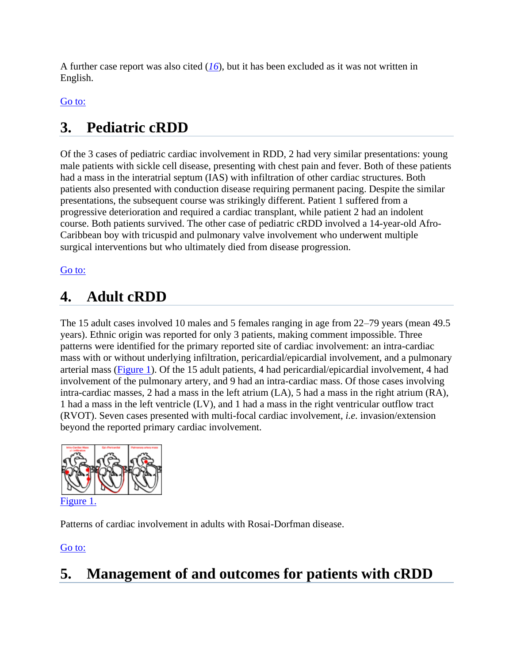A further case report was also cited (*[16](http://www.ncbi.nlm.nih.gov/pmc/articles/PMC4761578/#bib16)*), but it has been excluded as it was not written in English.

### [Go to:](http://www.ncbi.nlm.nih.gov/pmc/articles/PMC4761578/)

# **3. Pediatric cRDD**

Of the 3 cases of pediatric cardiac involvement in RDD, 2 had very similar presentations: young male patients with sickle cell disease, presenting with chest pain and fever. Both of these patients had a mass in the interatrial septum (IAS) with infiltration of other cardiac structures. Both patients also presented with conduction disease requiring permanent pacing. Despite the similar presentations, the subsequent course was strikingly different. Patient 1 suffered from a progressive deterioration and required a cardiac transplant, while patient 2 had an indolent course. Both patients survived. The other case of pediatric cRDD involved a 14-year-old Afro-Caribbean boy with tricuspid and pulmonary valve involvement who underwent multiple surgical interventions but who ultimately died from disease progression.

### [Go to:](http://www.ncbi.nlm.nih.gov/pmc/articles/PMC4761578/)

# **4. Adult cRDD**

The 15 adult cases involved 10 males and 5 females ranging in age from 22–79 years (mean 49.5 years). Ethnic origin was reported for only 3 patients, making comment impossible. Three patterns were identified for the primary reported site of cardiac involvement: an intra-cardiac mass with or without underlying infiltration, pericardial/epicardial involvement, and a pulmonary arterial mass [\(Figure 1\)](http://www.ncbi.nlm.nih.gov/pmc/articles/PMC4761578/figure/F1/). Of the 15 adult patients, 4 had pericardial/epicardial involvement, 4 had involvement of the pulmonary artery, and 9 had an intra-cardiac mass. Of those cases involving intra-cardiac masses, 2 had a mass in the left atrium (LA), 5 had a mass in the right atrium (RA), 1 had a mass in the left ventricle (LV), and 1 had a mass in the right ventricular outflow tract (RVOT). Seven cases presented with multi-focal cardiac involvement, *i.e.* invasion/extension beyond the reported primary cardiac involvement.



Patterns of cardiac involvement in adults with Rosai-Dorfman disease.

[Go to:](http://www.ncbi.nlm.nih.gov/pmc/articles/PMC4761578/)

# **5. Management of and outcomes for patients with cRDD**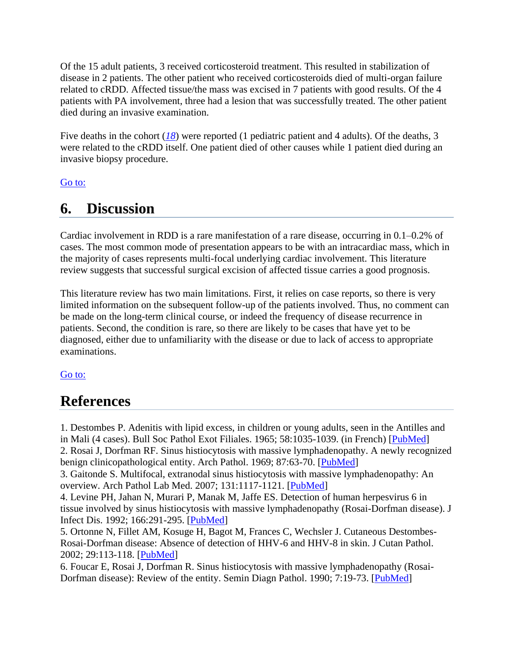Of the 15 adult patients, 3 received corticosteroid treatment. This resulted in stabilization of disease in 2 patients. The other patient who received corticosteroids died of multi-organ failure related to cRDD. Affected tissue/the mass was excised in 7 patients with good results. Of the 4 patients with PA involvement, three had a lesion that was successfully treated. The other patient died during an invasive examination.

Five deaths in the cohort ([18](http://www.ncbi.nlm.nih.gov/pmc/articles/PMC4761578/#bib18)) were reported (1 pediatric patient and 4 adults). Of the deaths, 3 were related to the cRDD itself. One patient died of other causes while 1 patient died during an invasive biopsy procedure.

### [Go to:](http://www.ncbi.nlm.nih.gov/pmc/articles/PMC4761578/)

### **6. Discussion**

Cardiac involvement in RDD is a rare manifestation of a rare disease, occurring in 0.1–0.2% of cases. The most common mode of presentation appears to be with an intracardiac mass, which in the majority of cases represents multi-focal underlying cardiac involvement. This literature review suggests that successful surgical excision of affected tissue carries a good prognosis.

This literature review has two main limitations. First, it relies on case reports, so there is very limited information on the subsequent follow-up of the patients involved. Thus, no comment can be made on the long-term clinical course, or indeed the frequency of disease recurrence in patients. Second, the condition is rare, so there are likely to be cases that have yet to be diagnosed, either due to unfamiliarity with the disease or due to lack of access to appropriate examinations.

#### [Go to:](http://www.ncbi.nlm.nih.gov/pmc/articles/PMC4761578/)

### **References**

1. Destombes P. Adenitis with lipid excess, in children or young adults, seen in the Antilles and

in Mali (4 cases). Bull Soc Pathol Exot Filiales. 1965; 58:1035-1039. (in French) [\[PubMed\]](http://www.ncbi.nlm.nih.gov/pubmed/5899730)

2. Rosai J, Dorfman RF. Sinus histiocytosis with massive lymphadenopathy. A newly recognized benign clinicopathological entity. Arch Pathol. 1969; 87:63-70. [\[PubMed\]](http://www.ncbi.nlm.nih.gov/pubmed/5782438)

3. Gaitonde S. Multifocal, extranodal sinus histiocytosis with massive lymphadenopathy: An overview. Arch Pathol Lab Med. 2007; 131:1117-1121. [\[PubMed\]](http://www.ncbi.nlm.nih.gov/pubmed/17617001)

4. Levine PH, Jahan N, Murari P, Manak M, Jaffe ES. Detection of human herpesvirus 6 in tissue involved by sinus histiocytosis with massive lymphadenopathy (Rosai-Dorfman disease). J Infect Dis. 1992; 166:291-295. [\[PubMed\]](http://www.ncbi.nlm.nih.gov/pubmed/1321861)

5. Ortonne N, Fillet AM, Kosuge H, Bagot M, Frances C, Wechsler J. Cutaneous Destombes-Rosai-Dorfman disease: Absence of detection of HHV-6 and HHV-8 in skin. J Cutan Pathol. 2002; 29:113-118. [\[PubMed\]](http://www.ncbi.nlm.nih.gov/pubmed/12150132)

6. Foucar E, Rosai J, Dorfman R. Sinus histiocytosis with massive lymphadenopathy (Rosai-Dorfman disease): Review of the entity. Semin Diagn Pathol. 1990; 7:19-73. [\[PubMed\]](http://www.ncbi.nlm.nih.gov/pubmed/2180012)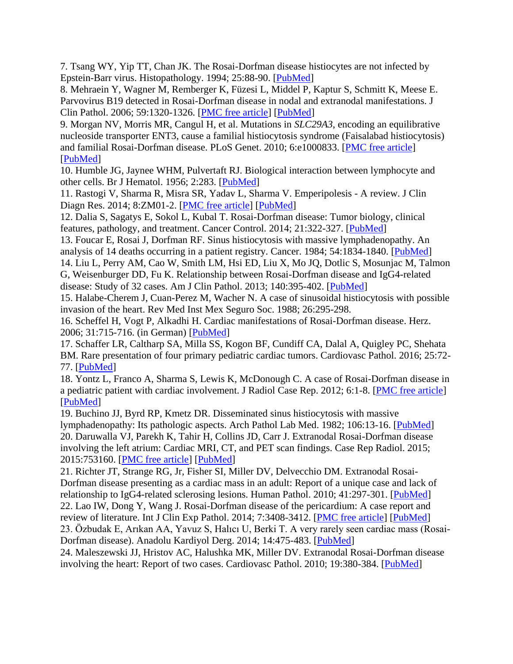7. Tsang WY, Yip TT, Chan JK. The Rosai-Dorfman disease histiocytes are not infected by Epstein-Barr virus. Histopathology. 1994; 25:88-90. [\[PubMed\]](http://www.ncbi.nlm.nih.gov/pubmed/7959651)

8. Mehraein Y, Wagner M, Remberger K, Füzesi L, Middel P, Kaptur S, Schmitt K, Meese E. Parvovirus B19 detected in Rosai-Dorfman disease in nodal and extranodal manifestations. J Clin Pathol. 2006; 59:1320-1326. [\[PMC free article\]](http://www.ncbi.nlm.nih.gov/pmc/articles/PMC1860545/) [\[PubMed\]](http://www.ncbi.nlm.nih.gov/pubmed/17142576)

9. Morgan NV, Morris MR, Cangul H, et al. Mutations in *SLC29A3*, encoding an equilibrative nucleoside transporter ENT3, cause a familial histiocytosis syndrome (Faisalabad histiocytosis) and familial Rosai-Dorfman disease. PLoS Genet. 2010; 6:e1000833. [\[PMC free article\]](http://www.ncbi.nlm.nih.gov/pmc/articles/PMC2816679/) [\[PubMed\]](http://www.ncbi.nlm.nih.gov/pubmed/20140240)

10. Humble JG, Jaynee WHM, Pulvertaft RJ. Biological interaction between lymphocyte and other cells. Br J Hematol. 1956; 2:283. [\[PubMed\]](http://www.ncbi.nlm.nih.gov/pubmed/13342362)

11. Rastogi V, Sharma R, Misra SR, Yadav L, Sharma V. Emperipolesis - A review. J Clin Diagn Res. 2014; 8:ZM01-2. [\[PMC free article\]](http://www.ncbi.nlm.nih.gov/pmc/articles/PMC4316366/) [\[PubMed\]](http://www.ncbi.nlm.nih.gov/pubmed/25654060)

12. Dalia S, Sagatys E, Sokol L, Kubal T. Rosai-Dorfman disease: Tumor biology, clinical features, pathology, and treatment. Cancer Control. 2014; 21:322-327. [\[PubMed\]](http://www.ncbi.nlm.nih.gov/pubmed/25310213)

13. Foucar E, Rosai J, Dorfman RF. Sinus histiocytosis with massive lymphadenopathy. An analysis of 14 deaths occurring in a patient registry. Cancer. 1984; 54:1834-1840. [\[PubMed\]](http://www.ncbi.nlm.nih.gov/pubmed/6478418)

14. Liu L, Perry AM, Cao W, Smith LM, Hsi ED, Liu X, Mo JQ, Dotlic S, Mosunjac M, Talmon G, Weisenburger DD, Fu K. Relationship between Rosai-Dorfman disease and IgG4-related disease: Study of 32 cases. Am J Clin Pathol. 2013; 140:395-402. [\[PubMed\]](http://www.ncbi.nlm.nih.gov/pubmed/23955459)

15. Halabe-Cherem J, Cuan-Perez M, Wacher N. A case of sinusoidal histiocytosis with possible invasion of the heart. Rev Med Inst Mex Seguro Soc. 1988; 26:295-298.

16. Scheffel H, Vogt P, Alkadhi H. Cardiac manifestations of Rosai-Dorfman disease. Herz. 2006; 31:715-716. (in German) [\[PubMed\]](http://www.ncbi.nlm.nih.gov/pubmed/17072788)

17. Schaffer LR, Caltharp SA, Milla SS, Kogon BF, Cundiff CA, Dalal A, Quigley PC, Shehata BM. Rare presentation of four primary pediatric cardiac tumors. Cardiovasc Pathol. 2016; 25:72- 77. [\[PubMed\]](http://www.ncbi.nlm.nih.gov/pubmed/26419627)

18. Yontz L, Franco A, Sharma S, Lewis K, McDonough C. A case of Rosai-Dorfman disease in a pediatric patient with cardiac involvement. J Radiol Case Rep. 2012; 6:1-8. [\[PMC free article\]](http://www.ncbi.nlm.nih.gov/pmc/articles/PMC3370701/) [\[PubMed\]](http://www.ncbi.nlm.nih.gov/pubmed/22690274)

19. Buchino JJ, Byrd RP, Kmetz DR. Disseminated sinus histiocytosis with massive lymphadenopathy: Its pathologic aspects. Arch Pathol Lab Med. 1982; 106:13-16. [\[PubMed\]](http://www.ncbi.nlm.nih.gov/pubmed/6895583) 20. Daruwalla VJ, Parekh K, Tahir H, Collins JD, Carr J. Extranodal Rosai-Dorfman disease involving the left atrium: Cardiac MRI, CT, and PET scan findings. Case Rep Radiol. 2015; 2015:753160. [\[PMC free article\]](http://www.ncbi.nlm.nih.gov/pmc/articles/PMC4477210/) [\[PubMed\]](http://www.ncbi.nlm.nih.gov/pubmed/26180652)

21. Richter JT, Strange RG, Jr, Fisher SI, Miller DV, Delvecchio DM. Extranodal Rosai-Dorfman disease presenting as a cardiac mass in an adult: Report of a unique case and lack of relationship to IgG4-related sclerosing lesions. Human Pathol. 2010; 41:297-301. [\[PubMed\]](http://www.ncbi.nlm.nih.gov/pubmed/19962176) 22. Lao IW, Dong Y, Wang J. Rosai-Dorfman disease of the pericardium: A case report and review of literature. Int J Clin Exp Pathol. 2014; 7:3408-3412. [\[PMC free article\]](http://www.ncbi.nlm.nih.gov/pmc/articles/PMC4097210/) [\[PubMed\]](http://www.ncbi.nlm.nih.gov/pubmed/25031768)

23. Özbudak E, Arıkan AA, Yavuz S, Halıcı U, Berki T. A very rarely seen cardiac mass (Rosai-Dorfman disease). Anadolu Kardiyol Derg. 2014; 14:475-483. [\[PubMed\]](http://www.ncbi.nlm.nih.gov/pubmed/24968979)

24. Maleszewski JJ, Hristov AC, Halushka MK, Miller DV. Extranodal Rosai-Dorfman disease involving the heart: Report of two cases. Cardiovasc Pathol. 2010; 19:380-384. [\[PubMed\]](http://www.ncbi.nlm.nih.gov/pubmed/19819734)